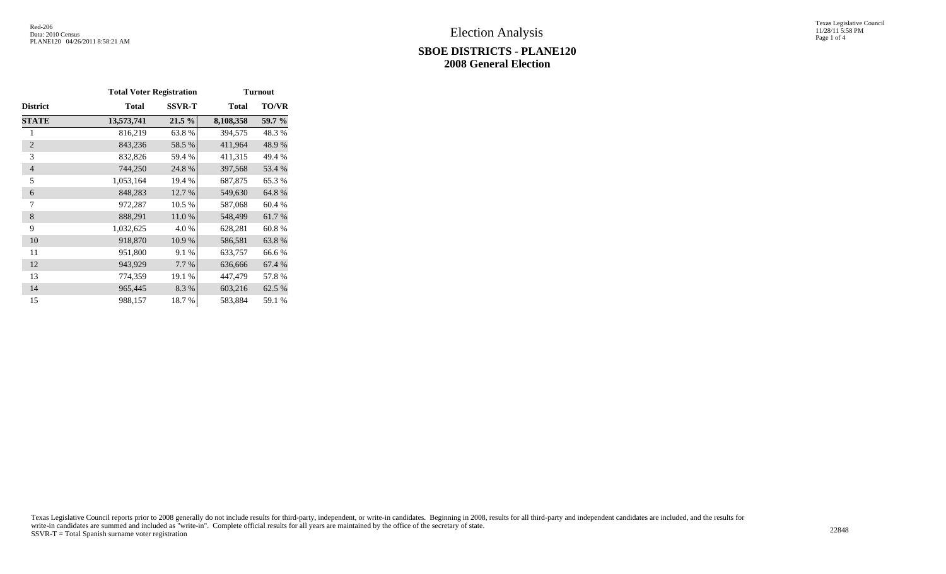## **SBOE DISTRICTS - PLANE120 2008 General Election**

Texas Legislative Council 11/28/11 5:58 PM Page 1 of 4

|                 | <b>Total Voter Registration</b> |               | <b>Turnout</b> |              |  |  |  |
|-----------------|---------------------------------|---------------|----------------|--------------|--|--|--|
| <b>District</b> | <b>Total</b>                    | <b>SSVR-T</b> | <b>Total</b>   | <b>TO/VR</b> |  |  |  |
| <b>STATE</b>    | 13,573,741                      | 21.5 %        | 8,108,358      | 59.7 %       |  |  |  |
| 1               | 816,219                         | 63.8%         | 394,575        | 48.3%        |  |  |  |
| $\overline{2}$  | 843,236                         | 58.5 %        | 411,964        | 48.9%        |  |  |  |
| 3               | 832,826                         | 59.4 %        | 411,315        | 49.4 %       |  |  |  |
| $\overline{4}$  | 744,250                         | 24.8%         | 397,568        | 53.4 %       |  |  |  |
| 5               | 1,053,164                       | 19.4 %        | 687,875        | 65.3%        |  |  |  |
| 6               | 848,283                         | 12.7 %        | 549,630        | 64.8%        |  |  |  |
| 7               | 972,287                         | 10.5 %        | 587,068        | 60.4%        |  |  |  |
| 8               | 888,291                         | 11.0%         | 548,499        | 61.7%        |  |  |  |
| 9               | 1,032,625                       | 4.0%          | 628,281        | 60.8%        |  |  |  |
| 10              | 918,870                         | 10.9%         | 586,581        | 63.8%        |  |  |  |
| 11              | 951,800                         | 9.1 %         | 633,757        | 66.6%        |  |  |  |
| 12              | 943,929                         | 7.7 %         | 636,666        | 67.4 %       |  |  |  |
| 13              | 774,359                         | 19.1 %        | 447,479        | 57.8%        |  |  |  |
| 14              | 965,445                         | 8.3%          | 603,216        | 62.5 %       |  |  |  |
| 15              | 988,157                         | 18.7%         | 583,884        | 59.1 %       |  |  |  |

Texas Legislative Council reports prior to 2008 generally do not include results for third-party, independent, or write-in candidates. Beginning in 2008, results for all third-party and independent candidates are included, write-in candidates are summed and included as "write-in". Complete official results for all years are maintained by the office of the secretary of state. 22848<br>SSVR-T = Total Spanish surname voter registration 22848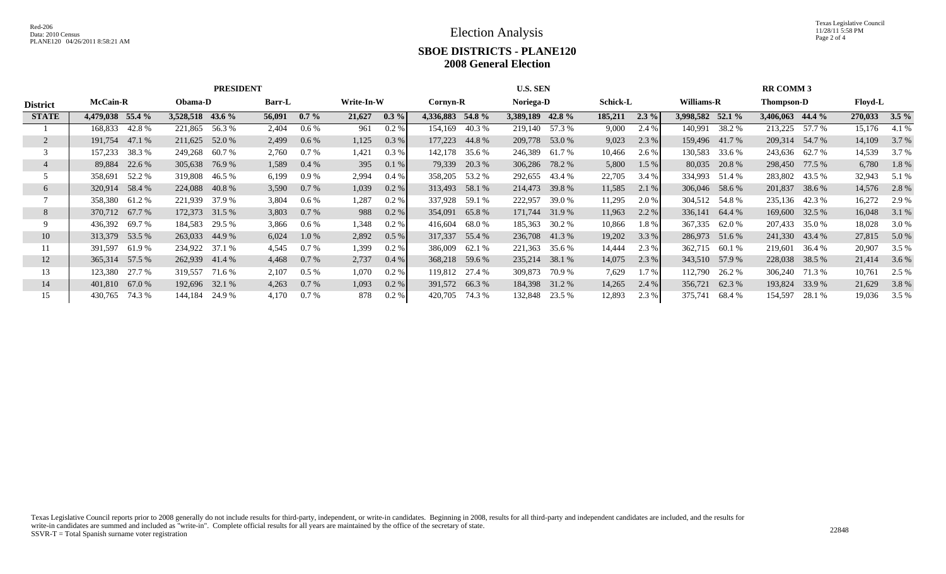Texas Legislative Council 11/28/11 5:58 PM Page 2 of 4

## **SBOE DISTRICTS - PLANE120 2008 General Election**

|                 |                   | <b>PRESIDENT</b>  |                   |                   |                   | <b>U.S. SEN</b>       |                    | <b>RR COMM 3</b>      |                   |                    |  |  |
|-----------------|-------------------|-------------------|-------------------|-------------------|-------------------|-----------------------|--------------------|-----------------------|-------------------|--------------------|--|--|
| <b>District</b> | <b>McCain-R</b>   | Obama-D           | <b>Barr-L</b>     | Write-In-W        | Cornyn-R          | Noriega-D             | <b>Schick-L</b>    | Williams-R            | <b>Thompson-D</b> | Floyd-L            |  |  |
| <b>STATE</b>    | 4,479,038 55.4 %  | 3,528,518 43.6 %  | 56,091<br>$0.7\%$ | 21,627<br>$0.3\%$ | 4.336.883 54.8 %  | 3,389,189<br>42.8 $%$ | 185,211<br>$2.3\%$ | 3.998.582<br>$52.1\%$ | 3,406,063 44.4 %  | $3.5\%$<br>270,033 |  |  |
|                 | 168,833<br>42.8 % | 221,865 56.3 %    | 2,404<br>$0.6\%$  | 0.2 %<br>961      | 154,169<br>40.3 % | 219,140<br>57.3 %     | 9,000<br>2.4 %     | 38.2 %<br>140,991     | 213,225<br>57.7 % | 4.1 %<br>15,176    |  |  |
|                 | 191,754<br>47.1 % | 211,625<br>52.0 % | 2,499<br>0.6%     | 0.3 %<br>1,125    | 177,223<br>44.8%  | 209,778<br>53.0 %     | 2.3 %<br>9,023     | 159,496<br>41.7 %     | 209,314 54.7 %    | 14,109<br>3.7 %    |  |  |
|                 | 38.3 %<br>157,233 | 60.7 %<br>249,268 | 2,760<br>$0.7\%$  | 0.3 %<br>1,421    | 142,178<br>35.6 % | 246,389<br>61.7 %     | 10,466<br>2.6 %    | 130,583<br>33.6 %     | 243,636 62.7 %    | 14,539<br>3.7 %    |  |  |
|                 | 22.6 %<br>89,884  | 305,638<br>76.9 % | 1,589<br>$0.4\%$  | 395<br>0.1%       | 79,339<br>20.3 %  | 306,286<br>78.2 %     | 5,800<br>1.5%      | 80,035<br>20.8 %      | 298,450 77.5 %    | 6,780<br>1.8%      |  |  |
|                 | 52.2 %<br>358,691 | 319,808<br>46.5 % | 6,199<br>0.9%     | 2,994<br>0.4%     | 358,205<br>53.2 % | 292,655<br>43.4 %     | 22,705<br>3.4 %    | 334,993<br>51.4 %     | 283,802 43.5 %    | 32,943<br>5.1 %    |  |  |
| 6               | 58.4 %<br>320,914 | 224,088<br>40.8%  | $0.7\%$<br>3,590  | 1,039<br>$0.2 \%$ | 313,493 58.1 %    | 214,473<br>39.8 %     | 11,585<br>2.1%     | 306,046 58.6 %        | 201,837<br>38.6 % | 14,576<br>2.8%     |  |  |
|                 | 358,380 61.2 %    | 221,939<br>37.9 % | 3,804<br>0.6 %    | 1,287<br>$0.2\%$  | 337,928<br>59.1 % | 222,957<br>39.0 %     | 11,295<br>2.0 %    | 304,512<br>54.8 %     | 235,136 42.3 %    | 16,272<br>2.9 %    |  |  |
| 8               | 370,712 67.7 %    | 172,373 31.5 %    | 3,803<br>$0.7\%$  | 988<br>$0.2 \%$   | 354,091<br>65.8%  | 171,744<br>31.9 %     | 2.2%<br>11,963     | 336,141<br>64.4 %     | 169,600 32.5 %    | 16,048<br>3.1 %    |  |  |
|                 | 69.7 %<br>436,392 | 184,583<br>29.5 % | 3,866<br>$0.6\%$  | 1,348<br>$0.2\%$  | 416,604<br>68.0 % | 185,363<br>30.2 %     | 10,866<br>1.8 %    | 367,335<br>62.0 %     | 207,433 35.0 %    | 18,028<br>3.0 %    |  |  |
| 10              | 313,379 53.5 %    | 263,033<br>44.9 % | 6,024<br>1.0 %    | 2,892<br>0.5 %    | 317,337<br>55.4 % | 236,708 41.3 %        | 3.3%<br>19,202     | 286,973<br>51.6 %     | 241,330 43.4 %    | 5.0 %<br>27,815    |  |  |
| 11              | 391,597<br>61.9 % | 234,922<br>37.1 % | $0.7\%$<br>4,545  | 1,399<br>$0.2\%$  | 386,009<br>62.1 % | 221,363<br>35.6 %     | 14,444<br>2.3 %    | 362,715<br>60.1 %     | 219,601<br>36.4 % | 20,907<br>3.5 %    |  |  |
| 12              | 365,314 57.5 %    | 262,939<br>41.4 % | 0.7%<br>4,468     | 2,737<br>0.4%     | 368,218 59.6 %    | 235,214<br>38.1 %     | 2.3 %<br>14,075    | 57.9 %<br>343,510     | 228,038 38.5 %    | 21,414<br>3.6 %    |  |  |
| 13              | 123,380 27.7 %    | 319,557<br>71.6 % | 2,107<br>$0.5\%$  | 1,070<br>$0.2\%$  | 119,812 27.4 %    | 309,873<br>70.9 %     | 7,629<br>1.7 %     | 112,790<br>26.2 %     | 306,240 71.3 %    | 10,761<br>2.5 %    |  |  |
| 14              | 67.0 %<br>401,810 | 192,696 32.1 %    | $0.7\%$<br>4,263  | $0.2\%$<br>1,093  | 391,572 66.3 %    | 184,398<br>31.2 %     | 2.4%<br>14,265     | 356,721<br>62.3 %     | 193,824<br>33.9 % | 21,629<br>3.8 %    |  |  |
| 15              | 74.3 %<br>430,765 | 144,184<br>24.9 % | 4,170<br>0.7%     | 878<br>0.2 %      | 420,705<br>74.3 % | 132,848<br>23.5 %     | 2.3 %<br>12,893    | 375,741<br>68.4 %     | 154,597<br>28.1 % | 19,036<br>3.5 %    |  |  |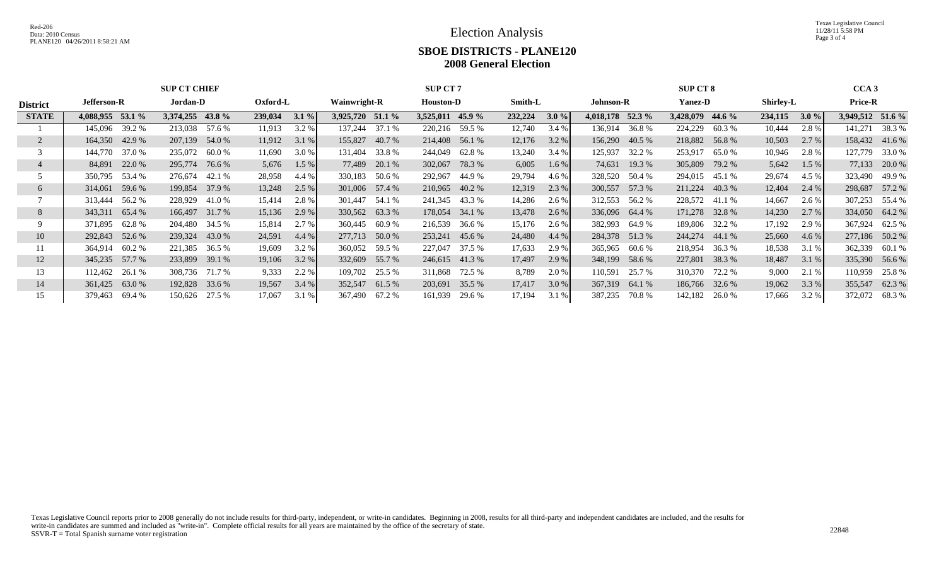Texas Legislative Council 11/28/11 5:58 PM Page 3 of 4

## **SBOE DISTRICTS - PLANE120 2008 General Election**

|                 | <b>SUP CT CHIEF</b>     |                   |                    |                     | <b>SUP CT 7</b>    |                    |                   | CCA <sub>3</sub>    |                  |                   |  |
|-----------------|-------------------------|-------------------|--------------------|---------------------|--------------------|--------------------|-------------------|---------------------|------------------|-------------------|--|
| <b>District</b> | Jordan-D<br>Jefferson-R |                   | Oxford-L           | <b>Wainwright-R</b> | <b>Houston-D</b>   | Smith-L            | <b>Johnson-R</b>  | <b>Yanez-D</b>      | <b>Shirley-L</b> | <b>Price-R</b>    |  |
| <b>STATE</b>    | 4,088,955 53.1 %        | 3,374,255 43.8 %  | $3.1\%$<br>239,034 | 3,925,720 51.1 %    | $3,525,011$ 45.9 % | 232,224<br>$3.0\%$ | 4,018,178 52.3 %  | 3,428,079<br>44.6 % | 234,115<br>3.0%  | 3,949,512 51.6 %  |  |
|                 | 39.2 %<br>145,096       | 213,038<br>57.6 % | 3.2 %<br>11,913    | 37.1 %<br>137,244   | 220,216 59.5 %     | 12,740<br>3.4%     | 136,914 36.8 %    | 224,229<br>60.3%    | 10,444<br>2.8%   | 141,271<br>38.3 % |  |
|                 | 164,350 42.9 %          | 207,139 54.0 %    | 11,912<br>3.1 %    | 155,827<br>40.7 %   | 214,408 56.1 %     | 12,176<br>3.2 %    | 156,290<br>40.5 % | 218,882<br>56.8%    | 10,503<br>2.7%   | 158,432 41.6 %    |  |
|                 | 37.0 %<br>144,770       | 235,072<br>60.0 % | 11,690<br>3.0 %    | 33.8%<br>131,404    | 62.8%<br>244,049   | 13,240<br>3.4%     | 125,937<br>32.2 % | 253,917<br>65.0%    | 10,946<br>2.8%   | 127,779<br>33.0 % |  |
|                 | 22.0 %<br>84,891        | 295,774<br>76.6 % | 5,676<br>$1.5\%$   | 20.1 %<br>77,489    | 302,067<br>78.3 %  | 6,005<br>$1.6\%$   | 74,631<br>19.3 %  | 305,809<br>79.2 %   | 5,642<br>$1.5\%$ | 77,133<br>20.0 %  |  |
|                 | 53.4 %<br>350,795       | 276,674<br>42.1 % | 28,958<br>4.4 %    | 330,183<br>50.6 %   | 292,967<br>44.9 %  | 29,794<br>4.6 %    | 328,520<br>50.4 % | 294,015<br>45.1 %   | 29,674<br>4.5 %  | 323,490<br>49.9 % |  |
| 6               | 59.6 %<br>314,061       | 199,854 37.9 %    | 13,248<br>2.5 %    | 301,006 57.4 %      | 210,965<br>40.2 %  | 2.3 %<br>12,319    | 300,557<br>57.3 % | 211,224<br>40.3 %   | 12,404<br>2.4%   | 57.2 %<br>298,687 |  |
|                 | 313,444<br>56.2 %       | 228,929<br>41.0 % | 15,414<br>2.8 %    | 301,447<br>54.1 %   | 241,345<br>43.3 %  | 14,286<br>$2.6\%$  | 312,553<br>56.2 % | 228,572<br>41.1 %   | 14,667<br>2.6 %  | 307,253<br>55.4 % |  |
| 8               | 65.4 %<br>343,311       | 166,497 31.7 %    | 15,136<br>2.9 %    | 330,562 63.3 %      | 178,054<br>34.1 %  | 13,478<br>$2.6\%$  | 336,096 64.4 %    | 171,278<br>32.8 %   | 14,230<br>2.7%   | 334,050 64.2 %    |  |
|                 | 371,895<br>62.8%        | 204,480 34.5 %    | 2.7 %<br>15,814    | 360,445<br>60.9 %   | 216,539<br>36.6 %  | 15,176<br>$2.6\%$  | 382,993<br>64.9 % | 189,806<br>32.2 %   | 17,192<br>2.9 %  | 367,924<br>62.5 % |  |
| 10              | 52.6 %<br>292,843       | 239,324 43.0 %    | 24,591<br>4.4 %    | 277,713 50.0 %      | 253,241 45.6 %     | 24,480<br>4.4%     | 284,378 51.3 %    | 244,274<br>44.1 %   | 25,660<br>4.6%   | 277,186 50.2 %    |  |
|                 | 60.2 %<br>364,914       | 221,385<br>36.5 % | 19,609<br>3.2 %    | 360,052<br>59.5 %   | 227,047<br>37.5 %  | 17,633<br>2.9 %    | 365,965<br>60.6 % | 218,954<br>36.3 %   | 18,538<br>3.1%   | 362,339<br>60.1 % |  |
| 12              | 57.7 %<br>345,235       | 233,899 39.1 %    | 3.2%<br>19,106     | 332,609 55.7 %      | 246,615 41.3 %     | 2.9%<br>17,497     | 348,199<br>58.6 % | 227,801<br>38.3 %   | 18,487<br>3.1%   | 335,390<br>56.6 % |  |
| 13              | 26.1 %<br>112,462       | 308,736 71.7 %    | 9,333<br>2.2 %     | 109,702<br>25.5 %   | 311,868<br>72.5 %  | 8,789<br>2.0 %     | 110,591<br>25.7 % | 310,370<br>72.2 %   | 9,000<br>2.1 %   | 110,959<br>25.8 % |  |
| 14              | 361,425<br>63.0 %       | 192,828 33.6 %    | 19,567<br>3.4%     | 352,547<br>61.5 %   | 203,691<br>35.5 %  | 3.0 %<br>17,417    | 367,319<br>64.1 % | 186,766<br>32.6 %   | 19,062<br>3.3%   | 355,547<br>62.3 % |  |
| 15              | 379,463<br>69.4 %       | 150,626<br>27.5 % | 17,067<br>3.1 %    | 367,490 67.2 %      | 161,939<br>29.6 %  | 17,194<br>3.1%     | 70.8%<br>387,235  | 142,182<br>26.0 %   | 3.2 %<br>17,666  | 372,072<br>68.3%  |  |